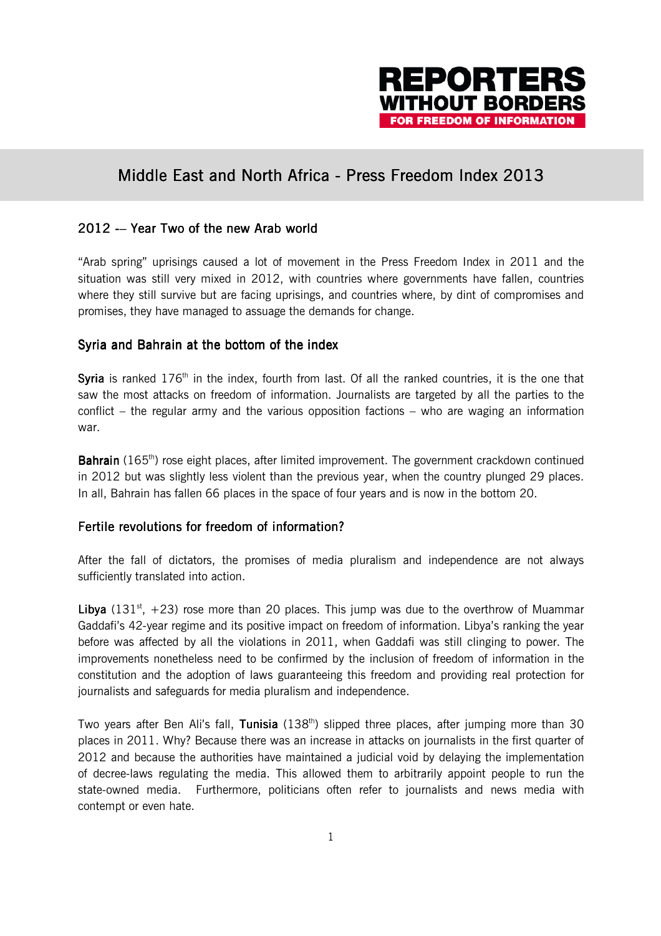

# Middle East and North Africa - Press Freedom Index 2013

### $2012 -$ Year Two of the new Arab world

"Arab spring" uprisings caused a lot of movement in the Press Freedom Index in 2011 and the situation was still very mixed in 2012, with countries where governments have fallen, countries where they still survive but are facing uprisings, and countries where, by dint of compromises and promises, they have managed to assuage the demands for change.

#### Syria and Bahrain at the bottom of the index

**Syria** is ranked  $176<sup>th</sup>$  in the index, fourth from last. Of all the ranked countries, it is the one that saw the most attacks on freedom of information. Journalists are targeted by all the parties to the conflict – the regular army and the various opposition factions – who are waging an information war.

**Bahrain** (165<sup>th</sup>) rose eight places, after limited improvement. The government crackdown continued in 2012 but was slightly less violent than the previous year, when the country plunged 29 places. In all, Bahrain has fallen 66 places in the space of four years and is now in the bottom 20.

### Fertile revolutions for freedom of information?

After the fall of dictators, the promises of media pluralism and independence are not always sufficiently translated into action.

Libya (131<sup>st</sup>, +23) rose more than 20 places. This jump was due to the overthrow of Muammar Gaddafi's 42-year regime and its positive impact on freedom of information. Libya's ranking the year before was affected by all the violations in 2011, when Gaddafi was still clinging to power. The improvements nonetheless need to be confirmed by the inclusion of freedom of information in the constitution and the adoption of laws guaranteeing this freedom and providing real protection for journalists and safeguards for media pluralism and independence.

Two years after Ben Ali's fall, Tunisia (138<sup>th</sup>) slipped three places, after jumping more than 30 places in 2011. Why? Because there was an increase in attacks on journalists in the first quarter of 2012 and because the authorities have maintained a judicial void by delaying the implementation of decree-laws regulating the media. This allowed them to arbitrarily appoint people to run the state-owned media. Furthermore, politicians often refer to journalists and news media with contempt or even hate.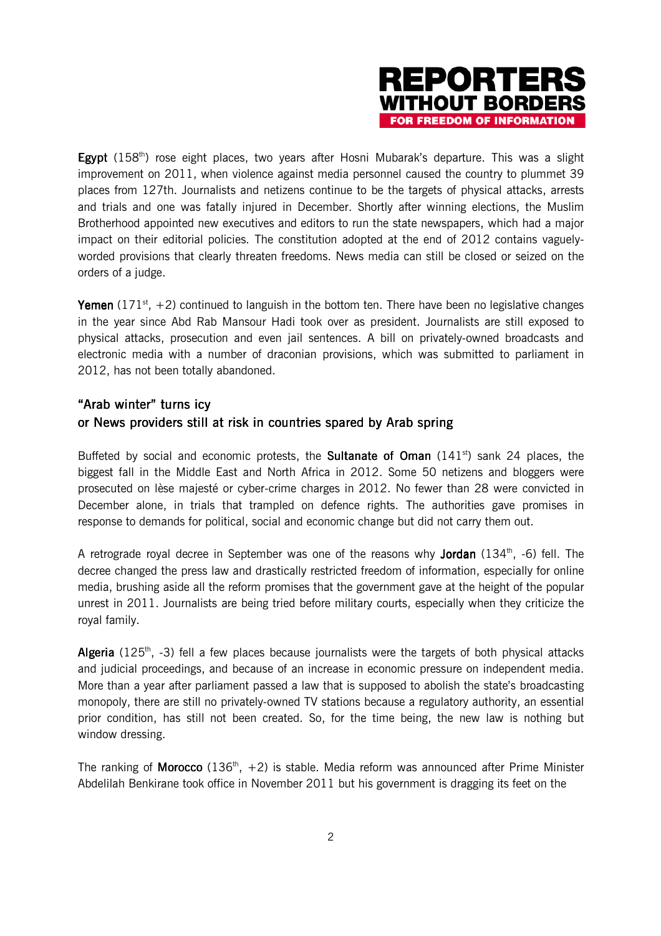

Egypt (158<sup>th</sup>) rose eight places, two years after Hosni Mubarak's departure. This was a slight improvement on 2011, when violence against media personnel caused the country to plummet 39 places from 127th. Journalists and netizens continue to be the targets of physical attacks, arrests and trials and one was fatally injured in December. Shortly after winning elections, the Muslim Brotherhood appointed new executives and editors to run the state newspapers, which had a major impact on their editorial policies. The constitution adopted at the end of 2012 contains vaguelyworded provisions that clearly threaten freedoms. News media can still be closed or seized on the orders of a judge.

**Yemen** (171<sup>st</sup>, +2) continued to languish in the bottom ten. There have been no legislative changes in the year since Abd Rab Mansour Hadi took over as president. Journalists are still exposed to physical attacks, prosecution and even jail sentences. A bill on privately-owned broadcasts and electronic media with a number of draconian provisions, which was submitted to parliament in 2012, has not been totally abandoned.

## "Arab winter" turns icy or News providers still at risk in countries spared by Arab spring

Buffeted by social and economic protests, the **Sultanate of Oman**  $(141<sup>st</sup>)$  sank 24 places, the biggest fall in the Middle East and North Africa in 2012. Some 50 netizens and bloggers were prosecuted on lèse majesté or cyber-crime charges in 2012. No fewer than 28 were convicted in December alone, in trials that trampled on defence rights. The authorities gave promises in response to demands for political, social and economic change but did not carry them out.

A retrograde royal decree in September was one of the reasons why **Jordan** (134<sup>th</sup>, -6) fell. The decree changed the press law and drastically restricted freedom of information, especially for online media, brushing aside all the reform promises that the government gave at the height of the popular unrest in 2011. Journalists are being tried before military courts, especially when they criticize the royal family.

Algeria (125<sup>th</sup>, -3) fell a few places because journalists were the targets of both physical attacks and judicial proceedings, and because of an increase in economic pressure on independent media. More than a year after parliament passed a law that is supposed to abolish the state's broadcasting monopoly, there are still no privately-owned TV stations because a regulatory authority, an essential prior condition, has still not been created. So, for the time being, the new law is nothing but window dressing.

The ranking of Morocco (136<sup>th</sup>, +2) is stable. Media reform was announced after Prime Minister Abdelilah Benkirane took office in November 2011 but his government is dragging its feet on the